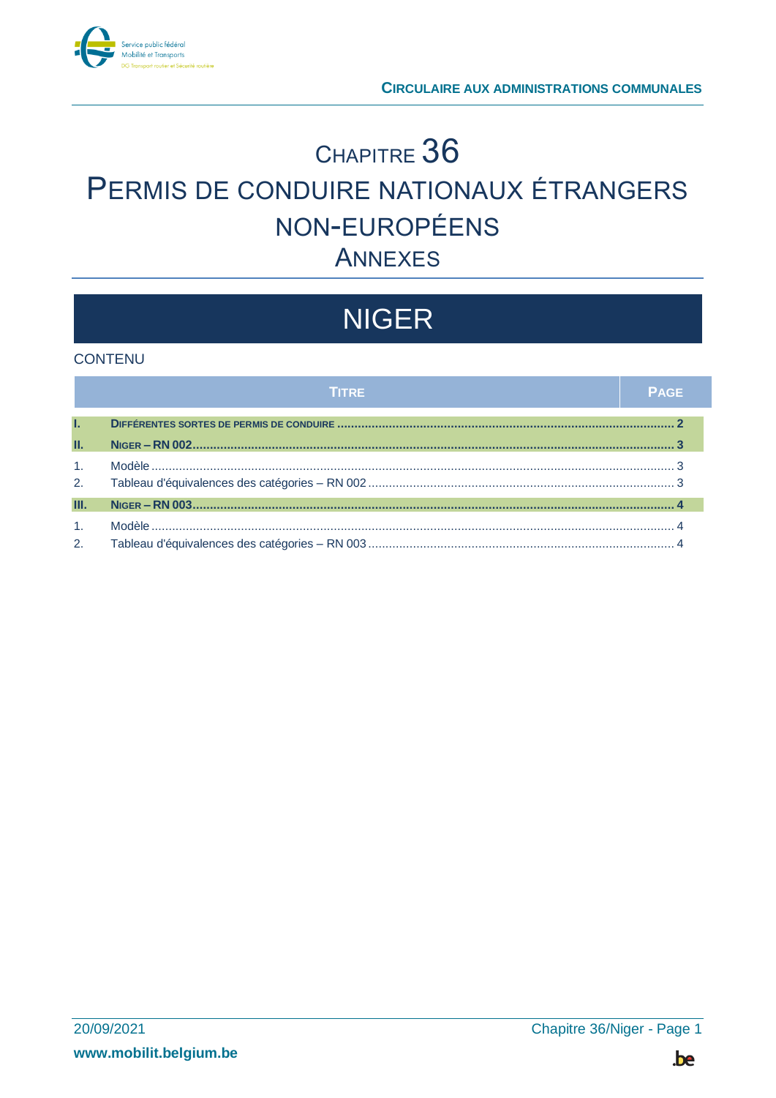

# CHAPITRE 36 PERMIS DE CONDUIRE NATIONAUX ÉTRANGERS NON-EUROPÉENS **ANNEXES**

# **NIGER**

#### **CONTENU**

|                | TITRE | <b>PAGE</b> |
|----------------|-------|-------------|
| L.             |       |             |
| П.             |       |             |
| 1 <sub>1</sub> |       |             |
| 2.             |       |             |
| Ш.             |       |             |
| 1 <sup>1</sup> |       |             |
| 2.             |       |             |

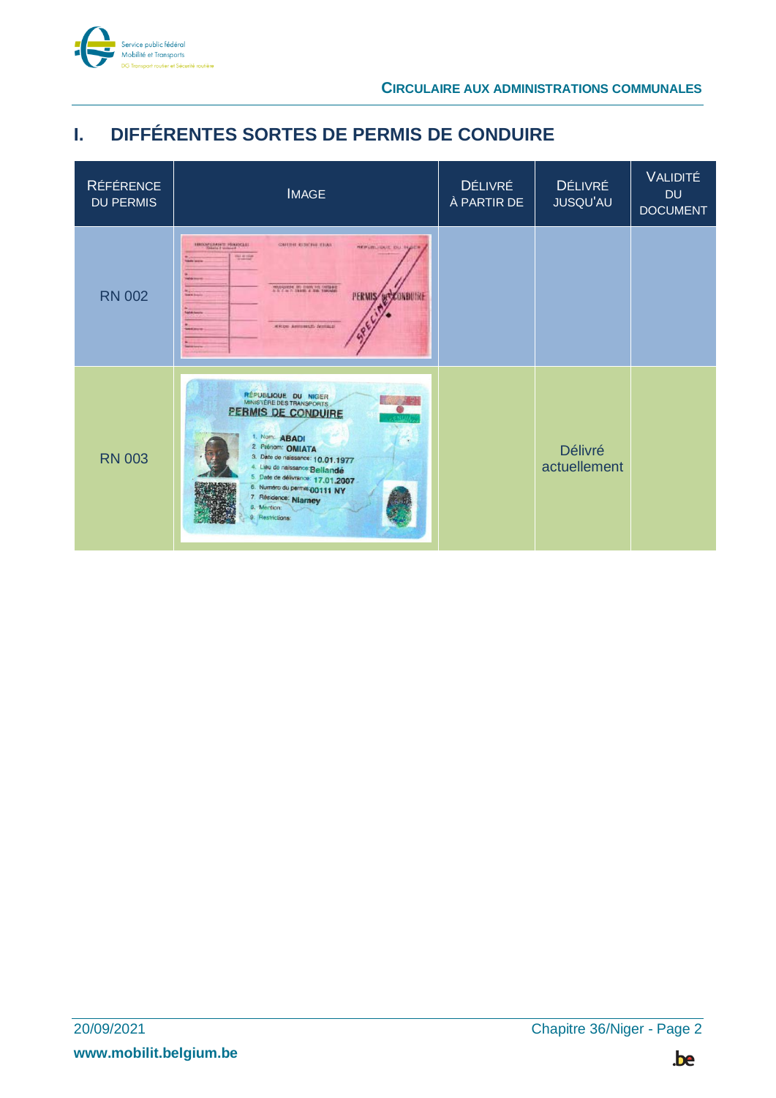

## <span id="page-1-0"></span>**I. DIFFÉRENTES SORTES DE PERMIS DE CONDUIRE**

| <b>RÉFÉRENCE</b><br><b>DU PERMIS</b> | <b>IMAGE</b>                                                                                                                                                                                                                                                                                                          | <b>DÉLIVRÉ</b><br>À PARTIR DE | <b>DÉLIVRÉ</b><br><b>JUSQU'AU</b> | <b>VALIDITÉ</b><br><b>DU</b><br><b>DOCUMENT</b> |
|--------------------------------------|-----------------------------------------------------------------------------------------------------------------------------------------------------------------------------------------------------------------------------------------------------------------------------------------------------------------------|-------------------------------|-----------------------------------|-------------------------------------------------|
| <b>RN 002</b>                        | <b>IBOOPERANT PRODUCT</b><br>CAFERE CISERIE FRAN<br>HEFURLIQUE DU HUER<br><b>PALMITTE</b><br><b>Call of Concerts</b><br>manipurese in near on version<br>PERMIS DECONDUNE<br><b>MARINER</b><br><b><i><u>Statute Inserte</u></i></b><br><b>RRDS ANNIHEIS NUMBER</b><br><b>SAN AND H</b>                                |                               |                                   |                                                 |
| <b>RN 003</b>                        | <b>RÉPUBLIQUE DU NIGER<br/>MINISTÈRE DES TRANSPORTS</b><br>PERMIS DE CONDUIRE<br>1. Nom: ABADI<br>2. Pténom: OMIATA<br>3. Date de naissance: 10.01.1977<br>4. Lieu de naissance: Bellandé<br>5 Date de délivrance: 17.01.2007<br>6. Numéro du permis 00111 NY<br>7. Résidence: Niamey<br>8. Mention:<br>Restrictions: |                               | <b>Délivré</b><br>actuellement    |                                                 |

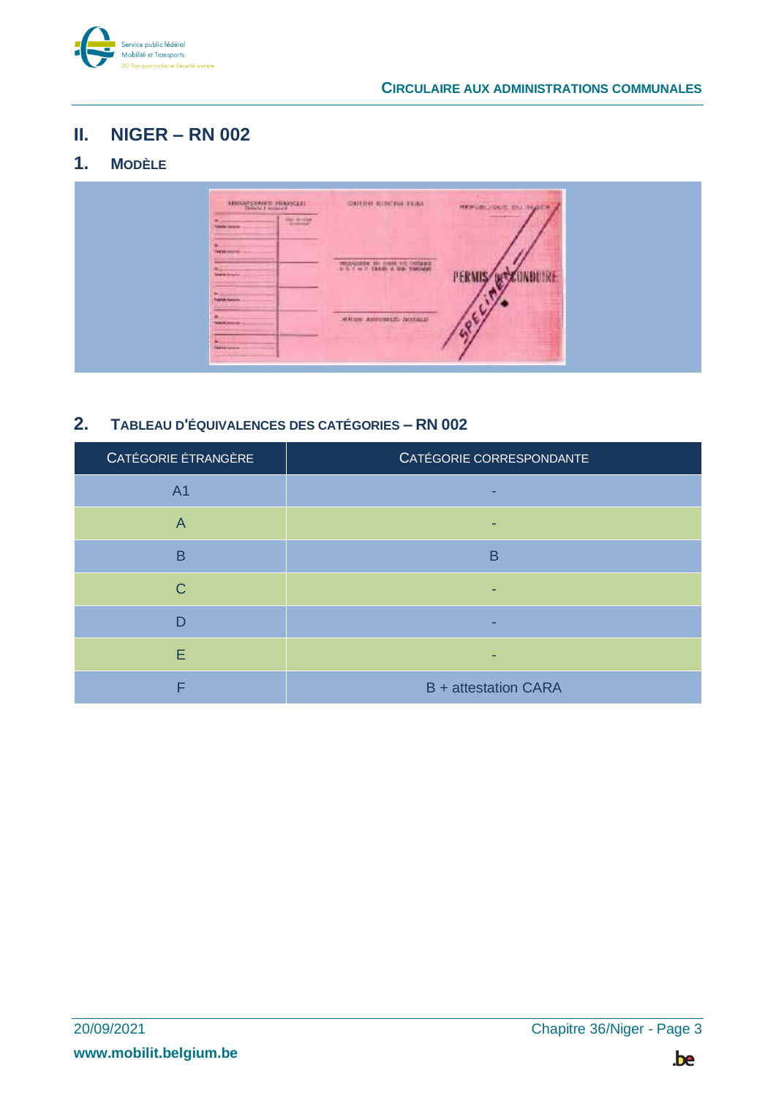

### <span id="page-2-0"></span>**II. NIGER – RN 002**

### <span id="page-2-1"></span>**1. MODÈLE**

| <b>IBOOKSMAT HUNGALI</b><br>mussing.<br>۰<br><b>Toleda</b> laneras     | CRITIC COUNT LINE                                    | HERVIS VIOLE OU HUSER<br><b>College of Assessed</b> |  |
|------------------------------------------------------------------------|------------------------------------------------------|-----------------------------------------------------|--|
| <b>Federal Money Inc.</b><br><b>Magazine</b><br><b>Telefith School</b> | MUSCODE IN HAN 20 INDEE                              |                                                     |  |
| <b>Table Associa</b><br>______<br><b>SERVICE</b>                       | <b>RRDS ANTIHELD NUMBER</b><br><b>Contractor</b> and |                                                     |  |
| ۰<br>Telefonik dopozition-<br><b>Start of Adding Security</b>          |                                                      |                                                     |  |

### <span id="page-2-2"></span>**2. TABLEAU D'ÉQUIVALENCES DES CATÉGORIES – RN 002**

| CATÉGORIE ÉTRANGÈRE | CATÉGORIE CORRESPONDANTE    |
|---------------------|-----------------------------|
| A <sub>1</sub>      |                             |
| $\overline{A}$      |                             |
| B                   | B                           |
| C                   |                             |
| D                   |                             |
| E                   |                             |
| F                   | <b>B</b> + attestation CARA |